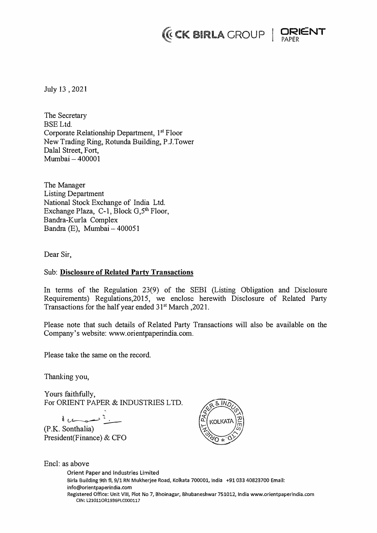## *I* **CK BIRLA CROUP | DRIENT**



July 13, 2021

The Secretary BSELtd. Corporate Relationship Department, 1<sup>st</sup> Floor New Trading Ring, Rotunda Building, P.J.Tower Dalal Street, Fort, Mumbai- 400001

The Manager Listing Department National Stock Exchange of India Ltd. Exchange Plaza, C-1, Block  $G_5<sup>th</sup>$  Floor, Bandra-Kurla Complex Bandra (E), Mumbai - 400051

Dear Sir,

## Sub: **Disclosure of Related Party Transactions**

In terms of the Regulation 23(9) of the SEBI (Listing Obligation and Disclosure Requirements) Regulations,2015, we enclose herewith Disclosure of Related Party Transactions for the half year ended 31<sup>st</sup> March, 2021.

Please note that such details of Related Party Transactions will also be available on the Company's website: www.orientpaperindia.com.

Please take the same on the record.

Thanking you,

Encl: as above

Yours faithfully, For ORIENT PAPER & INDUSTRIES LTD.

 $\frac{1}{\sqrt{2}}$ 

(P.K. Sonthalia) President(Finance) & CFO



Orient Paper and Industries Limited Birla Building 9th fl, 9/1 RN Mukherjee Road, Kolkata 700001, India +91 033 40823700 Email: **info@orientpaperindia.com Registered Office: Unit VIII, Plot No 7, Bhoinagar, Bhubaneshwar 751012, India www.orientpaperindia.com CIN: l21011OR1936PLC000117**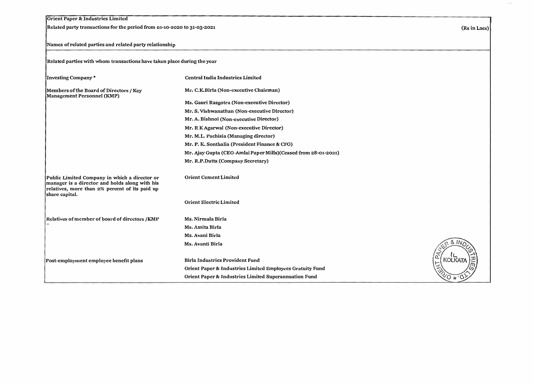| Orient Paper & Industries Limited<br>Related party transactions for the period from 01-10-2020 to 31-03-2021                                                        |                                                                |                |
|---------------------------------------------------------------------------------------------------------------------------------------------------------------------|----------------------------------------------------------------|----------------|
|                                                                                                                                                                     |                                                                | (Rs in Lacs)   |
| Names of related parties and related party relationship                                                                                                             |                                                                |                |
| Related parties with whom transactions have taken place during the year                                                                                             |                                                                |                |
| Investing Company*                                                                                                                                                  | Central India Industries Limited                               |                |
| Members of the Board of Directors / Key<br>Management Personnel (KMP)                                                                                               | Mr. C.K.Birla (Non-executive Chairman)                         |                |
|                                                                                                                                                                     | Ms. Gauri Rasgotra (Non-executive Director)                    |                |
|                                                                                                                                                                     | Mr. S. Vishwanathan (Non-executive Director)                   |                |
|                                                                                                                                                                     | Mr. A. Bishnoi (Non-executive Director)                        |                |
|                                                                                                                                                                     | Mr. R K Agarwal (Non-executive Director)                       |                |
|                                                                                                                                                                     | Mr. M.L. Pachisia (Managing director)                          |                |
|                                                                                                                                                                     | Mr. P. K. Sonthalia (President Finance & CFO)                  |                |
|                                                                                                                                                                     | Mr. Ajay Gupta (CEO-Amlai Paper Mills)(Ceased from 28-01-2021) |                |
|                                                                                                                                                                     | Mr. R.P.Dutta (Company Secretary)                              |                |
| Public Limited Company in which a director or<br>manager is a director and holds along with his<br>relatives, more than 2% percent of its paid up<br>share capital. | <b>Orient Cement Limited</b>                                   |                |
|                                                                                                                                                                     | <b>Orient Electric Limited</b>                                 |                |
| Relatives of member of board of directors /KMP                                                                                                                      | Ms. Nirmala Birla                                              |                |
|                                                                                                                                                                     | Ms. Amita Birla                                                |                |
|                                                                                                                                                                     | Ms. Avani Birla                                                |                |
|                                                                                                                                                                     | Ms. Avanti Birla                                               |                |
|                                                                                                                                                                     |                                                                |                |
| Post-employment employee benefit plans                                                                                                                              | <b>Birla Industries Provident Fund</b>                         | <b>KOLKATA</b> |
|                                                                                                                                                                     | Orient Paper & Industries Limited Employees Gratuity Fund      |                |
|                                                                                                                                                                     | Orient Paper & Industries Limited Superannuation Fund          |                |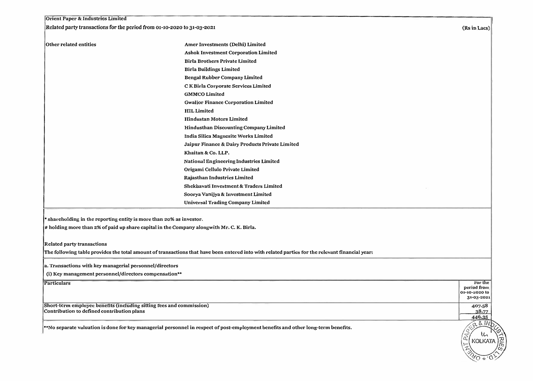| Orient Paper & Industrics Limited<br>Related party transactions for the period from 01-10-2020 to 31-03-2021       |                                                                                                                                                 |                        |
|--------------------------------------------------------------------------------------------------------------------|-------------------------------------------------------------------------------------------------------------------------------------------------|------------------------|
|                                                                                                                    |                                                                                                                                                 | (Rs in Lacs)           |
| Other related entities                                                                                             | Amer Investments (Delhi) Limited                                                                                                                |                        |
|                                                                                                                    | Ashok Investment Corporation Limited                                                                                                            |                        |
|                                                                                                                    | <b>Birla Brothers Private Limited</b>                                                                                                           |                        |
|                                                                                                                    | <b>Birla Buildings Limited</b>                                                                                                                  |                        |
|                                                                                                                    | Bengal Rubber Company Limited                                                                                                                   |                        |
|                                                                                                                    | CK Birla Corporate Services Limited                                                                                                             |                        |
|                                                                                                                    | <b>GMMCO</b> Limited                                                                                                                            |                        |
|                                                                                                                    | <b>Gwalior Finance Corporation Limited</b>                                                                                                      |                        |
|                                                                                                                    | <b>HIL Limited</b>                                                                                                                              |                        |
|                                                                                                                    | <b>Hindustan Motors Limited</b>                                                                                                                 |                        |
|                                                                                                                    | Hindusthan Discounting Company Limited                                                                                                          |                        |
|                                                                                                                    | India Silica Magnesite Works Limited                                                                                                            |                        |
|                                                                                                                    | Jaipur Finance & Dairy Products Private Limited                                                                                                 |                        |
|                                                                                                                    | Khaitan & Co. LLP.                                                                                                                              |                        |
|                                                                                                                    | National Engineering Industries Limited                                                                                                         |                        |
|                                                                                                                    | Origami Cellulo Private Limited                                                                                                                 |                        |
|                                                                                                                    | Rajasthan Industries Limited                                                                                                                    |                        |
|                                                                                                                    | Shekhavati Investment & Traders Limited                                                                                                         |                        |
|                                                                                                                    | Soorya Vanijya & Investment Limited                                                                                                             |                        |
|                                                                                                                    | <b>Universal Trading Company Limited</b>                                                                                                        |                        |
|                                                                                                                    |                                                                                                                                                 |                        |
| * shareholding in the reporting entity is more than 20% as investor.                                               |                                                                                                                                                 |                        |
|                                                                                                                    | # holding more than 2% of paid up share capital in the Company alongwith Mr. C. K. Birla.                                                       |                        |
| <b>Related party transactions</b>                                                                                  |                                                                                                                                                 |                        |
|                                                                                                                    | The following table provides the total amount of transactions that have been entered into with related parties for the relevant financial year: |                        |
|                                                                                                                    |                                                                                                                                                 |                        |
| a. Transactions with key managerial personnel/directors                                                            |                                                                                                                                                 |                        |
| (i) Key management personnel/directors compensation**                                                              |                                                                                                                                                 |                        |
| <b>Particulars</b>                                                                                                 |                                                                                                                                                 | For the<br>period from |
|                                                                                                                    |                                                                                                                                                 | 01-10-2020 to          |
|                                                                                                                    |                                                                                                                                                 | 31-03-2021             |
| Short-term employee benefits (including sitting fees and commission)<br>Contribution to defined contribution plans |                                                                                                                                                 | 407.58<br>38.77        |
|                                                                                                                    |                                                                                                                                                 | 446.35                 |
|                                                                                                                    | **No separate valuation is done for key managerial personnel in respect of post-employment benefits and other long-term benefits.               | 281N                   |
|                                                                                                                    |                                                                                                                                                 | w<br>Q                 |
|                                                                                                                    |                                                                                                                                                 | <b>KOLKATA</b>         |
|                                                                                                                    |                                                                                                                                                 |                        |
|                                                                                                                    |                                                                                                                                                 |                        |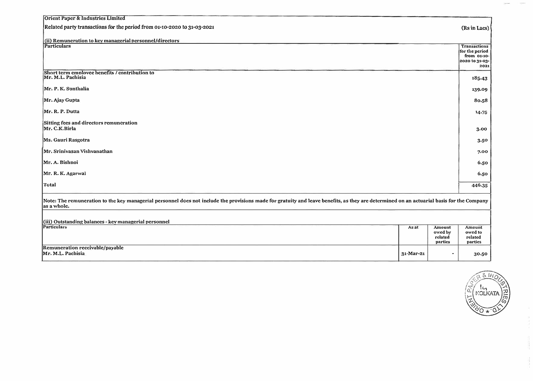| Orient Paper & Industries Limited                                                                                                                                                                         |                 |                    |                                                                         |  |  |  |
|-----------------------------------------------------------------------------------------------------------------------------------------------------------------------------------------------------------|-----------------|--------------------|-------------------------------------------------------------------------|--|--|--|
| Related party transactions for the period from 01-10-2020 to 31-03-2021                                                                                                                                   |                 |                    |                                                                         |  |  |  |
| (ii) Remuneration to key managerial personnel/directors                                                                                                                                                   |                 |                    |                                                                         |  |  |  |
| Particulars                                                                                                                                                                                               |                 |                    | Transactions<br>for the period<br>from 01-10-<br>2020 to 31-03-<br>2021 |  |  |  |
| Short term employee benefits / contribution to<br>Mr. M.L. Pachisia                                                                                                                                       |                 |                    | 185.43                                                                  |  |  |  |
| Mr. P. K. Sonthalia                                                                                                                                                                                       |                 |                    | 139.09                                                                  |  |  |  |
| Mr. Ajay Gupta                                                                                                                                                                                            |                 |                    | 80.58                                                                   |  |  |  |
| Mr. R. P. Dutta                                                                                                                                                                                           |                 |                    | 14.75                                                                   |  |  |  |
| Sitting fees and directors remuneration<br>Mr. C.K.Birla                                                                                                                                                  |                 |                    | 3.00                                                                    |  |  |  |
| Ms. Gauri Rasgotra                                                                                                                                                                                        |                 |                    | 3.50                                                                    |  |  |  |
| Mr. Srinivasan Vishvanathan                                                                                                                                                                               |                 |                    | 7.00                                                                    |  |  |  |
| Mr. A. Bishnoi                                                                                                                                                                                            |                 |                    | 6.50                                                                    |  |  |  |
| Mr. R. K. Agarwal                                                                                                                                                                                         |                 |                    | 6.50                                                                    |  |  |  |
| Total                                                                                                                                                                                                     |                 |                    | 446.35                                                                  |  |  |  |
| Note: The remuneration to the key managerial personnel does not include the provisions made for gratuity and leave benefits, as they are determined on an actuarial basis for the Company<br>las a whole. |                 |                    |                                                                         |  |  |  |
|                                                                                                                                                                                                           |                 |                    |                                                                         |  |  |  |
| (iii) Outstanding balances - key managerial personnel<br>Particulars                                                                                                                                      | As at           | Amount             | Amount                                                                  |  |  |  |
|                                                                                                                                                                                                           |                 | owed by<br>related | owed to<br>related                                                      |  |  |  |
| Remuneration receivable/payable                                                                                                                                                                           |                 | partics            | partics                                                                 |  |  |  |
| Mr. M.L. Pachisia                                                                                                                                                                                         | $31 - Mar - 21$ |                    | 30.50                                                                   |  |  |  |

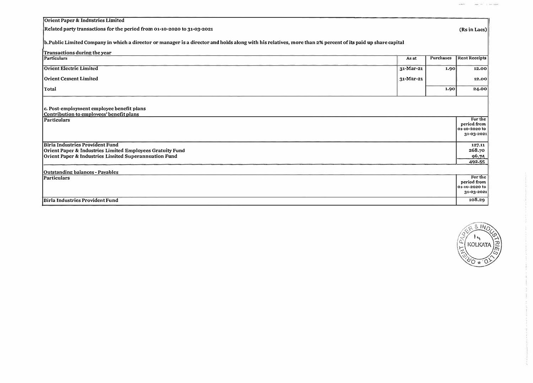| Orient Paper & Industries Limited                                                                                                                            |           |           |                        |  |  |  |
|--------------------------------------------------------------------------------------------------------------------------------------------------------------|-----------|-----------|------------------------|--|--|--|
| Related party transactions for the period from 01-10-2020 to 31-03-2021                                                                                      |           |           | (Rs in Lacs)           |  |  |  |
| b. Public Limited Company in which a director or manager is a director and holds along with his relatives, more than 2% percent of its paid up share capital |           |           |                        |  |  |  |
| Transactions during the year                                                                                                                                 |           |           |                        |  |  |  |
| Particulars                                                                                                                                                  | As at     | Purchases | <b>Rent Receipts</b>   |  |  |  |
| <b>Orient Electric Limited</b>                                                                                                                               | 31-Mar-21 | 1.90      | 12.00                  |  |  |  |
| <b>Orient Cement Limited</b>                                                                                                                                 | 31-Mar-21 |           | 12.00                  |  |  |  |
| Total                                                                                                                                                        |           | 1.90      | 24.00                  |  |  |  |
|                                                                                                                                                              |           |           |                        |  |  |  |
| c. Post-employment employee benefit plans                                                                                                                    |           |           |                        |  |  |  |
| Contribution to employees' benefit plans                                                                                                                     |           |           |                        |  |  |  |
| <b>Particulars</b>                                                                                                                                           |           |           | For the<br>period from |  |  |  |
|                                                                                                                                                              |           |           | 01-10-2020 to          |  |  |  |
|                                                                                                                                                              |           |           | 31-03-2021             |  |  |  |
| Birla Industries Provident Fund                                                                                                                              |           |           | 127.11                 |  |  |  |
| Orient Paper & Industries Limited Employees Gratuity Fund                                                                                                    |           |           | 268.70                 |  |  |  |
| Orient Paper & Industries Limited Superannuation Fund                                                                                                        |           |           | 96.74                  |  |  |  |
|                                                                                                                                                              |           |           | 492.55                 |  |  |  |
| Outstanding balances - Pavables                                                                                                                              |           |           |                        |  |  |  |
| Particulars                                                                                                                                                  |           |           | For the<br>period from |  |  |  |
|                                                                                                                                                              |           |           | 01-10-2020 to          |  |  |  |
|                                                                                                                                                              |           |           | 31-03-2021             |  |  |  |
| <b>Birla Industrics Provident Fund</b>                                                                                                                       |           |           | 108.29                 |  |  |  |

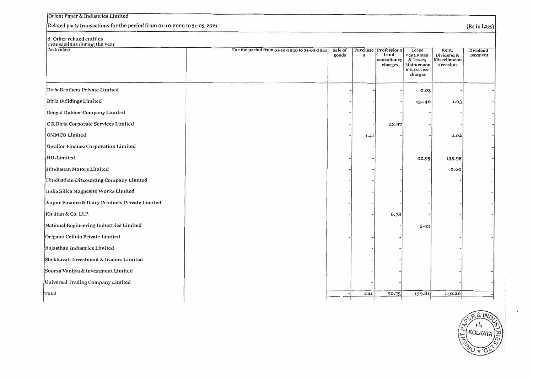| Orient Paper & Industries Limited                                       |                                              |                  |              |                                                               |                                                                          |                                                   |                     |
|-------------------------------------------------------------------------|----------------------------------------------|------------------|--------------|---------------------------------------------------------------|--------------------------------------------------------------------------|---------------------------------------------------|---------------------|
| Related party transactions for the period from 01-10-2020 to 31-03-2021 |                                              |                  |              |                                                               |                                                                          | (Rs in Lacs)                                      |                     |
| d. Other related entities<br>Transactions during the year               |                                              |                  |              |                                                               |                                                                          |                                                   |                     |
| Particulars                                                             | For the period from 01-10-2020 to 31-03-2021 | Sale of<br>goods | $\mathbf{s}$ | <b>Purchase Professiona</b><br>land<br>consultancy<br>charges | Lease<br>rent, Rates<br>& Taxes,<br>Maintenanc<br>e & service<br>charges | Rent,<br>Dividend &<br>Miscellaneou<br>s receipts | Dividend<br>payment |
| Birla Brothers Private Limited                                          |                                              |                  |              |                                                               | 0.03                                                                     |                                                   |                     |
| Birla Buildings Limited                                                 |                                              |                  |              |                                                               | 131.40                                                                   | 1.63                                              |                     |
| Bengal Rubber Company Limited                                           |                                              |                  |              |                                                               |                                                                          |                                                   |                     |
| CK Birla Corporate Services Limited                                     |                                              |                  |              | 43.97                                                         |                                                                          |                                                   |                     |
| <b>GMMCO</b> Limited                                                    |                                              |                  | 1.41         |                                                               |                                                                          | 2.02                                              |                     |
| <b>Gwalior Finance Corporation Limited</b>                              |                                              |                  |              |                                                               |                                                                          |                                                   |                     |
| HIL Limited                                                             |                                              |                  |              |                                                               | 22.95                                                                    | 135.95                                            |                     |
| Hindustan Motors Limited                                                |                                              |                  |              |                                                               |                                                                          | 0.60                                              |                     |
| Hindusthan Discounting Company Limited                                  |                                              |                  |              |                                                               |                                                                          |                                                   |                     |
| India Silica Magnesite Works Limited                                    |                                              |                  |              |                                                               |                                                                          |                                                   |                     |
| Jaipur Finance & Dairy Products Private Limited                         |                                              |                  |              |                                                               |                                                                          |                                                   |                     |
| Khaitan & Co. LLP.                                                      |                                              |                  |              | 6.78                                                          |                                                                          |                                                   |                     |
| National Engineering Industries Limited                                 |                                              |                  |              |                                                               | $5-43$                                                                   |                                                   |                     |
| Origami Cellulo Private Limited                                         |                                              |                  |              |                                                               |                                                                          |                                                   |                     |
| Rajasthan Industries Limited                                            |                                              |                  |              |                                                               |                                                                          |                                                   |                     |
| Shekhavati Investment & traders Limited                                 |                                              |                  |              |                                                               |                                                                          |                                                   |                     |
| Soorya Vanijya & investment Limited                                     |                                              |                  |              |                                                               |                                                                          |                                                   |                     |
| Universal Trading Company Limited                                       |                                              |                  |              |                                                               |                                                                          |                                                   |                     |
| Total                                                                   |                                              |                  | 1.41         | 50.75                                                         | 159.81                                                                   | 140.20                                            |                     |